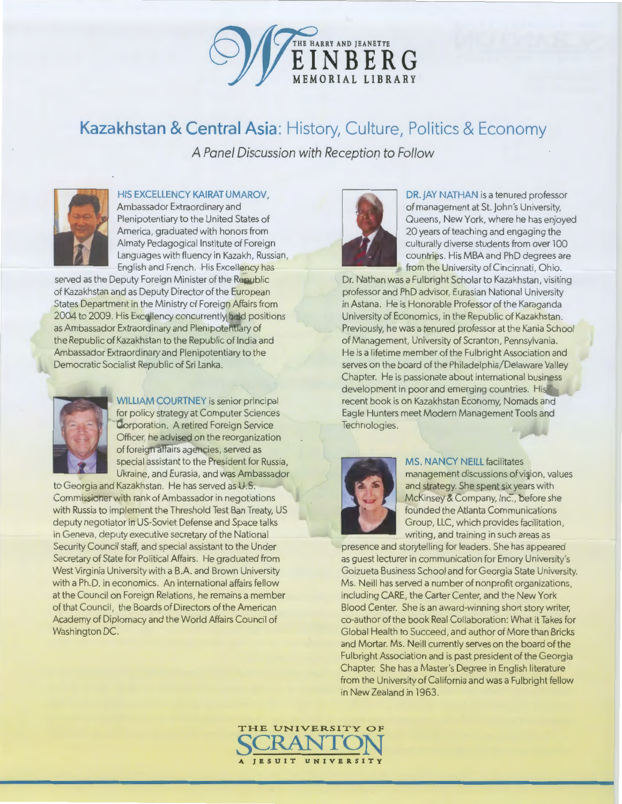

**Kazakhstan & Central Asia:** History, Culture, Politics & Economy

*A Panel Discussion with Reception to Follow* 



## HIS EXCELLENCY KAIRAT UMAROV,

Ambassador Extraordinary and Plenipotentiary to the United States of America, graduated with honors from Almaty Pedagogical Institute of Foreign Languages with fluency in Kazakh, Russian, English and French. His Excellency has

served as the Deputy Foreign Minister of the Republic of Kazakhstan and as Deputy Director of the European States Department in the Ministry of Foreign Affairs from 2004 to 2009. His Excellency concurrently held positions as Ambassador Extraordinary and Plenipotentiary of the Republic of Kazakhstan to the Republic of India and Ambassador Extraordinary and Plenipotentiary to the Democratic Socialist Republic of Sri Lanka.



WILLIAM COURTNEY is senior principal for policy strategy at Computer Sciences Corporation. A retired Foreign Service Officer, he advised on the reorganization of foreign affairs agencies, served as special assistant to the President for Russia, Ukraine, and Eurasia, and was Ambassador

to Georgia and Kazakhstan. He has served as U.S. Commissioner with rank of Ambassador in negotiations with Russia to implement the Threshold Test Ban Treaty, US deputy negotiator in US-Soviet Defense and Space talks in Geneva, deputy executive secretary of the National Security Council staff, and special assistant to the Under Secretary of State for Political Affairs. He graduated from West Virginia University with a B.A. and Brown University with a Ph.D. in economics. An international affairs fellow at the Council on Foreign Relations, he remains a member of that Council, the Boards of Directors of the American Academy of Diplomacy and the World Affairs Council of Washington DC.



DR. JAY NATHAN is a tenured professor of management at St. John's University, Queens, New York, where he has enjoyed 20 years of teaching and engaging the culturally diverse students from over 100 countries. His MBA and PhD degrees are from the University of Cincinnati, Ohio.

Dr. Nathan was a Fulbright Scholar to Kazakhstan, visiting professor and PhD advisor, Eurasian National University in Astana. He is Honorable Professor of the Karaganda University of Economics, in the Republic of Kazakhstan. Previously, he was a tenured professor at the Kania School of Management, University of Scranton, Pennsylvania. He is a lifetime member of the Fulbright Association and serves on the board of the Philadelphia/Delaware Valley Chapter. He is passionate about international business development in poor and emerging countries. His recent book is on Kazakhstan Economy, Nomads and Eagle Hunters meet Modern Management Tools and Technologies.



MS. NANCY NEILL facilitates management discussions of vision, values and strategy. She spent six years with McKinsey & Company, Inc., before she founded the Atlanta Communications Group, LLC, which provides facilitation, writing, and training in such areas as

presence and storytelling for leaders. She has appeared as guest lecturer in communication for Emory University's Goizueta Business School and for Georgia State University. Ms. Neill has served a number of nonprofit organizations, including CARE, the Carter Center, and the New York Blood Center. She is an award-winning short story writer, co-author of the book Real Collaboration: What it Takes for Global Health to Succeed, and author of More than Bricks and Mortar. Ms. Neill currently serves on the board of the Fulbright Association and is past president of the Georgia Chapter. She has a Master's Degree in English literature from the University of California and was a Fulbright fellow in New Zealand in 1963.